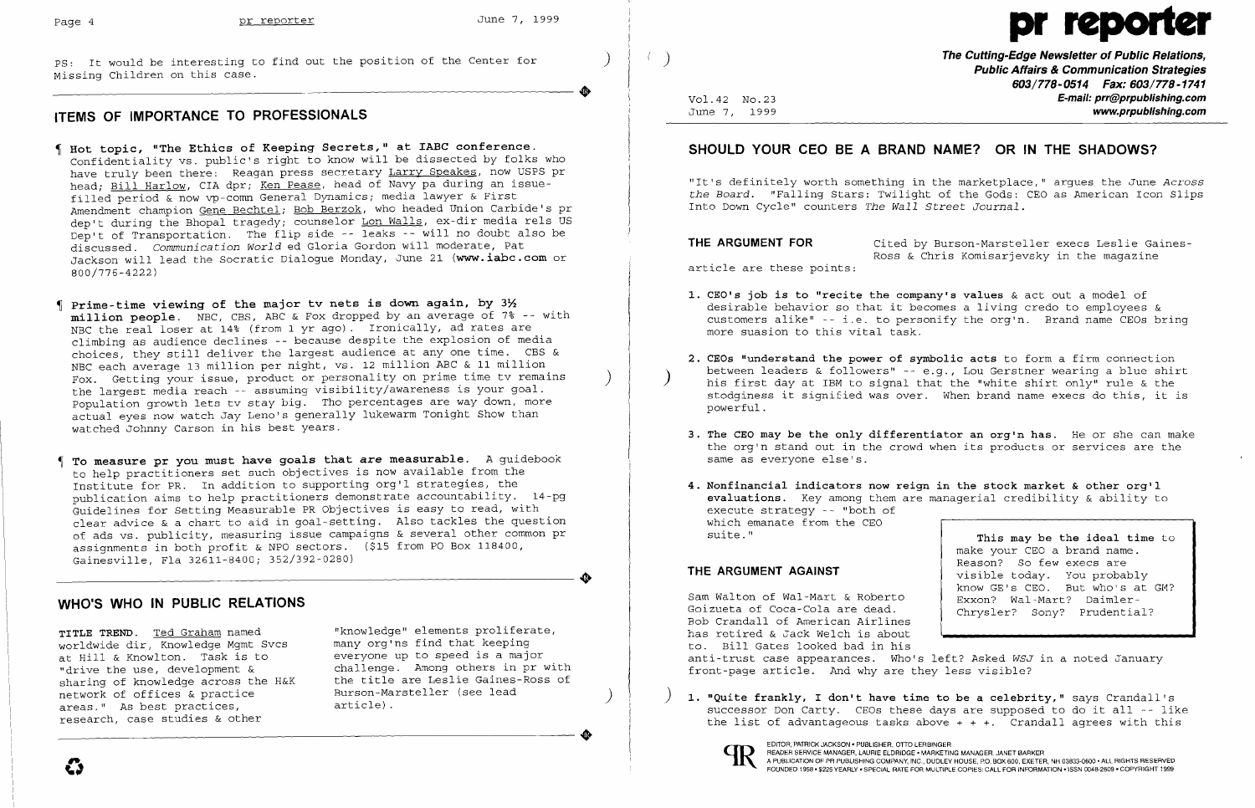Missing Children on this case. This case the position of the center for the communication of the communication Strategies and the communication Strategies and the communication Strategies and the communication Strategies a

# **ITEMS OF IMPORTANCE TO PROFESSIONALS**

- $\blacksquare$  **Hot topic, "The Ethics of Keeping Secrets," at IABC conference.** Confidentiality vs. public's right to know will be dissected by folks who have truly been there: Reagan press secretary Larry Speakes, now USPS pr head; Bill Harlow, CIA dpr; Ken Pease, head of Navy pa during an issuefilled period & now vp-comn General Dynamics; media lawyer & First Amendment champion Gene Bechtel; Bob Berzok, who headed Union Carbide's pr dep't during the Bhopal tragedy; counselor Lon Walls, ex-dir media rels US Dep't of Transportation. The flip side -- leaks -- will no doubt also be discussed. *Communication World* ed Gloria Gordon will moderate, Pat Jackson will lead the Socratic Dialogue Monday, June 21 **(www.iabc.com** or 800/776-4222)
- I Prime-time viewing of the major tv nets is down again, by  $3\frac{1}{2}$ **million people.** NBC, CBS, ABC & Fox dropped by an average of 7% -- with NBC the real loser at 14% (from 1 yr ago). Ironically, ad rates are climbing as audience declines -- because despite the explosion of media choices, they still deliver the largest audience at anyone time. CBS & NBC each average 13 million per night, vs. 12 million ABC & 11 million Fox. Getting your issue, product or personality on prime time tv remains<br>the largest media reach -- assuming visibility/awareness is your goal. population growth lets tv stay big. Tho percentages are way down, more actual eyes now watch Jay Leno's generally lukewarm Tonight Show than watched Johnny Carson in his best years.
- , **To measure pr you must have goals that** *are* **measurable.** A guidebook to help practitioners set such objectives is now available from the Institute for PR. In addition to supporting org'l strategies, the publication aims to help practitioners demonstrate accountability. 14-pg Guidelines for Setting Measurable PR Objectives is easy to read, with clear advice & a chart to aid in goal-setting. Also tackles the question of ads vs. publicity, measuring issue campaigns & several other common pr assignments in both profit & NPO sectors. (\$15 from PO Box 118400, Gainesville, Fla 32611-8400; 352/392-0280)

network of offices & practice<br>areas." As best practices, article).<br>research, case studies & other worldwide dir, Knowledge Mgmt Svcs and many org'ns find that keeping<br>at Hill & Knowlton, Task is to and everyone up to speed is a major at Hill & Knowlton. Task is to<br>"drive the use, development & sharing of knowledge across the H&K<br>network of offices & practice areas." As best practices, research, case studies & other

**TITLE TREND.** <u>Ted Graham</u> named "knowledge" elements proliferate,<br>worldwide dir Knowledge Mamt Sycs many org'ns find that keeping challenge. Among others in pr with<br>the title are Leslie Gaines-Ross of Burson-Marsteller (see lead article).

------------------------ **The Cutting-Edge Newsletter of Public Relations,** PS: It would be interesting to find out the position of the Center for ) ) **603/778-0514 Fax: 603/778-1741** .. V01.42 No.23 **E-mail: prr@prpublishing.com**  June 7, 1999 **www.prpublishing.com** 

> **THE ARGUMENT FOR** Cited by Burson-Marsteller execs Leslie Gaines-Ross & Chris Komisarjevsky in the magazine article are these points:

> **2. CEOs "understand the power of symbolic acts** to form a firm connection between leaders & followers" -- e.g., Lou Gerstner wearing a blue shirt his first day at IBM to signal that the "white shirt only" rule  $\&$  the stodginess it signified was over. When brand name execs do this, it is

> > **This may be the ideal time** to make your CEO a brand name. Reason? So few execs are visible today. You probably know  $GE's$  CEO. But who's at GM?

successor Don Carty. CEOs these days are supposed to do it all -- like the list of advantageous tasks above  $+ + +$ . Crandall agrees with this

..

 $\clubsuit$ 

## **WHO'S WHO IN PUBLIC RELATIONS**

Page 4 **pr reporter** June 7, 1999 **pr reporter** June 7, 1999

### **SHOULD YOUR CEO BE A BRAND NAME? OR IN THE SHADOWS?**

"It's definitely worth something in the marketplace," argues the June *Across the Board.* "Falling Stars: Twilight of the Gods: CEO as American Icon Slips Into Down Cycle" counters *The Wall Street Journal.* 

desirable behavior so that it becomes a living credo to employees & customers alike" -- i.e. to personify the org'n. Brand name CEOs bring

- **1. CEO's job is to "recite the company's values** & act out a model of more suasion to this vital task.
- powerful.
- same as everyone else's.
- execute strategy -- "both of which emanate from the CEO suite."

**3. The CEO may be the only differentiator an org'n has.** He or she can make the org'n stand out in the crowd when its products or services are the

**4. Nonfinancial indicators now reign in the stock market & other org'l evaluations.** Key among them are managerial credibility & ability to

### **THE ARGUMENT AGAINST**

Sam Walton of Wal-Mart & Roberto Goizueta of Coca-Cola are dead. Bob Crandall of American Airlines has retired & Jack Welch is about to. Bill Gates looked bad in his Exxon? Wal-Mart? Daimler-Chrysler? Sony? Prudential? anti-trust case appearances. Who's left? Asked *WSJ* in a noted January front-page article. And why are they less visible?

) **1. "Quite frankly, I don't have time to be a celebrity,"** says Crandall's